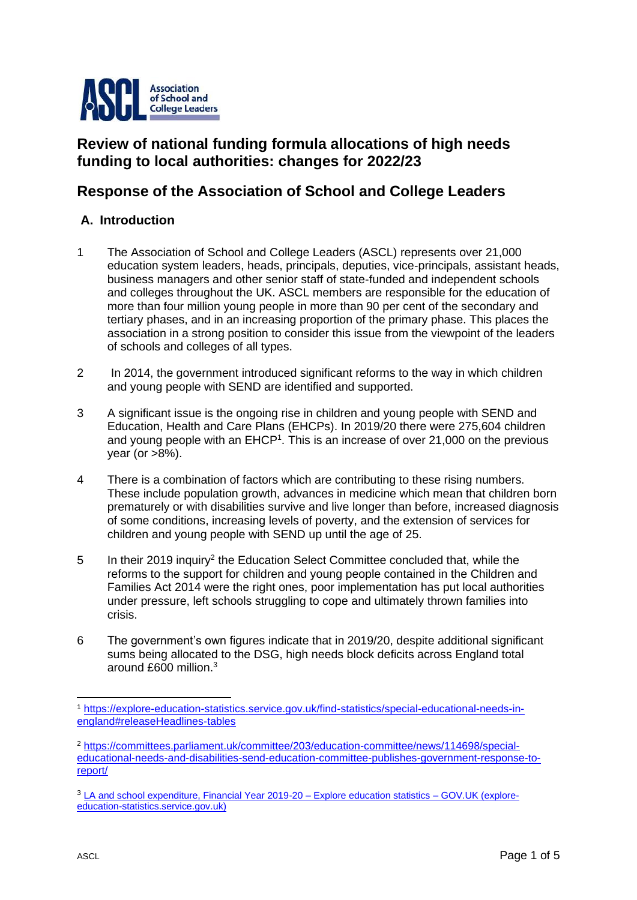

# **Review of national funding formula allocations of high needs funding to local authorities: changes for 2022/23**

## **Response of the Association of School and College Leaders**

### **A. Introduction**

- 1 The Association of School and College Leaders (ASCL) represents over 21,000 education system leaders, heads, principals, deputies, vice-principals, assistant heads, business managers and other senior staff of state-funded and independent schools and colleges throughout the UK. ASCL members are responsible for the education of more than four million young people in more than 90 per cent of the secondary and tertiary phases, and in an increasing proportion of the primary phase. This places the association in a strong position to consider this issue from the viewpoint of the leaders of schools and colleges of all types.
- 2 In 2014, the government introduced significant reforms to the way in which children and young people with SEND are identified and supported.
- 3 A significant issue is the ongoing rise in children and young people with SEND and Education, Health and Care Plans (EHCPs). In 2019/20 there were 275,604 children and young people with an EHCP<sup>1</sup>. This is an increase of over 21,000 on the previous year (or  $>8\%$ ).
- 4 There is a combination of factors which are contributing to these rising numbers. These include population growth, advances in medicine which mean that children born prematurely or with disabilities survive and live longer than before, increased diagnosis of some conditions, increasing levels of poverty, and the extension of services for children and young people with SEND up until the age of 25.
- 5 In their 2019 inquiry<sup>2</sup> the Education Select Committee concluded that, while the reforms to the support for children and young people contained in the Children and Families Act 2014 were the right ones, poor implementation has put local authorities under pressure, left schools struggling to cope and ultimately thrown families into crisis.
- 6 The government's own figures indicate that in 2019/20, despite additional significant sums being allocated to the DSG, high needs block deficits across England total around £600 million.<sup>3</sup>

<sup>1</sup> [https://explore-education-statistics.service.gov.uk/find-statistics/special-educational-needs-in](https://explore-education-statistics.service.gov.uk/find-statistics/special-educational-needs-in-england#releaseHeadlines-tables)[england#releaseHeadlines-tables](https://explore-education-statistics.service.gov.uk/find-statistics/special-educational-needs-in-england#releaseHeadlines-tables)

<sup>2</sup> [https://committees.parliament.uk/committee/203/education-committee/news/114698/special](https://committees.parliament.uk/committee/203/education-committee/news/114698/special-educational-needs-and-disabilities-send-education-committee-publishes-government-response-to-report/)[educational-needs-and-disabilities-send-education-committee-publishes-government-response-to](https://committees.parliament.uk/committee/203/education-committee/news/114698/special-educational-needs-and-disabilities-send-education-committee-publishes-government-response-to-report/)[report/](https://committees.parliament.uk/committee/203/education-committee/news/114698/special-educational-needs-and-disabilities-send-education-committee-publishes-government-response-to-report/)

<sup>3</sup> [LA and school expenditure, Financial Year 2019-20 –](https://explore-education-statistics.service.gov.uk/find-statistics/la-and-school-expenditure#releaseHeadlines-charts) Explore education statistics – GOV.UK (explore[education-statistics.service.gov.uk\)](https://explore-education-statistics.service.gov.uk/find-statistics/la-and-school-expenditure#releaseHeadlines-charts)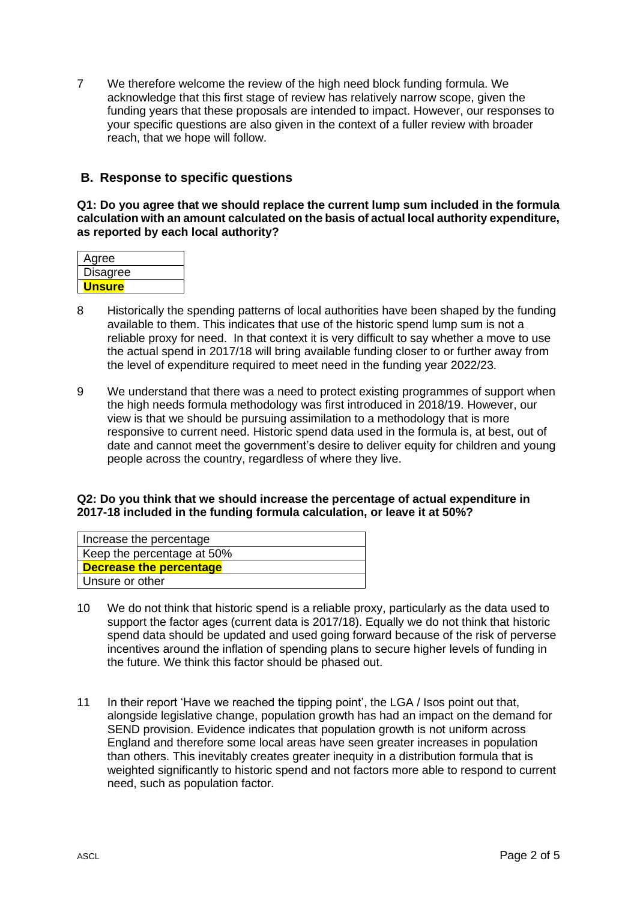7 We therefore welcome the review of the high need block funding formula. We acknowledge that this first stage of review has relatively narrow scope, given the funding years that these proposals are intended to impact. However, our responses to your specific questions are also given in the context of a fuller review with broader reach, that we hope will follow.

### **B. Response to specific questions**

**Q1: Do you agree that we should replace the current lump sum included in the formula calculation with an amount calculated on the basis of actual local authority expenditure, as reported by each local authority?**

| Agree           |  |
|-----------------|--|
| <b>Disagree</b> |  |
| Unsure          |  |

- 8 Historically the spending patterns of local authorities have been shaped by the funding available to them. This indicates that use of the historic spend lump sum is not a reliable proxy for need. In that context it is very difficult to say whether a move to use the actual spend in 2017/18 will bring available funding closer to or further away from the level of expenditure required to meet need in the funding year 2022/23.
- 9 We understand that there was a need to protect existing programmes of support when the high needs formula methodology was first introduced in 2018/19. However, our view is that we should be pursuing assimilation to a methodology that is more responsive to current need. Historic spend data used in the formula is, at best, out of date and cannot meet the government's desire to deliver equity for children and young people across the country, regardless of where they live.

#### **Q2: Do you think that we should increase the percentage of actual expenditure in 2017-18 included in the funding formula calculation, or leave it at 50%?**

| Increase the percentage        |
|--------------------------------|
| Keep the percentage at 50%     |
| <b>Decrease the percentage</b> |
| Unsure or other                |

- 10 We do not think that historic spend is a reliable proxy, particularly as the data used to support the factor ages (current data is 2017/18). Equally we do not think that historic spend data should be updated and used going forward because of the risk of perverse incentives around the inflation of spending plans to secure higher levels of funding in the future. We think this factor should be phased out.
- 11 In their report 'Have we reached the tipping point', the LGA / Isos point out that, alongside legislative change, population growth has had an impact on the demand for SEND provision. Evidence indicates that population growth is not uniform across England and therefore some local areas have seen greater increases in population than others. This inevitably creates greater inequity in a distribution formula that is weighted significantly to historic spend and not factors more able to respond to current need, such as population factor.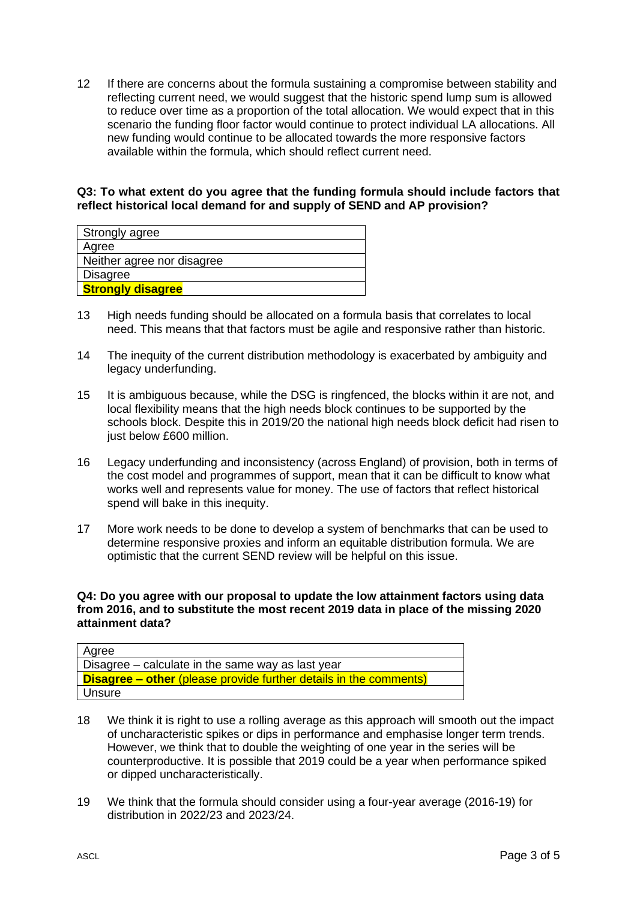12 If there are concerns about the formula sustaining a compromise between stability and reflecting current need, we would suggest that the historic spend lump sum is allowed to reduce over time as a proportion of the total allocation. We would expect that in this scenario the funding floor factor would continue to protect individual LA allocations. All new funding would continue to be allocated towards the more responsive factors available within the formula, which should reflect current need.

#### **Q3: To what extent do you agree that the funding formula should include factors that reflect historical local demand for and supply of SEND and AP provision?**

| Strongly agree             |
|----------------------------|
| Agree                      |
| Neither agree nor disagree |
| <b>Disagree</b>            |
| <b>Strongly disagree</b>   |

- 13 High needs funding should be allocated on a formula basis that correlates to local need. This means that that factors must be agile and responsive rather than historic.
- 14 The inequity of the current distribution methodology is exacerbated by ambiguity and legacy underfunding.
- 15 It is ambiguous because, while the DSG is ringfenced, the blocks within it are not, and local flexibility means that the high needs block continues to be supported by the schools block. Despite this in 2019/20 the national high needs block deficit had risen to just below £600 million.
- 16 Legacy underfunding and inconsistency (across England) of provision, both in terms of the cost model and programmes of support, mean that it can be difficult to know what works well and represents value for money. The use of factors that reflect historical spend will bake in this inequity.
- 17 More work needs to be done to develop a system of benchmarks that can be used to determine responsive proxies and inform an equitable distribution formula. We are optimistic that the current SEND review will be helpful on this issue.

#### **Q4: Do you agree with our proposal to update the low attainment factors using data from 2016, and to substitute the most recent 2019 data in place of the missing 2020 attainment data?**

| Agree                                                             |
|-------------------------------------------------------------------|
| Disagree – calculate in the same way as last year                 |
| Disagree – other (please provide further details in the comments) |
| Unsure                                                            |

- 18 We think it is right to use a rolling average as this approach will smooth out the impact of uncharacteristic spikes or dips in performance and emphasise longer term trends. However, we think that to double the weighting of one year in the series will be counterproductive. It is possible that 2019 could be a year when performance spiked or dipped uncharacteristically.
- 19 We think that the formula should consider using a four-year average (2016-19) for distribution in 2022/23 and 2023/24.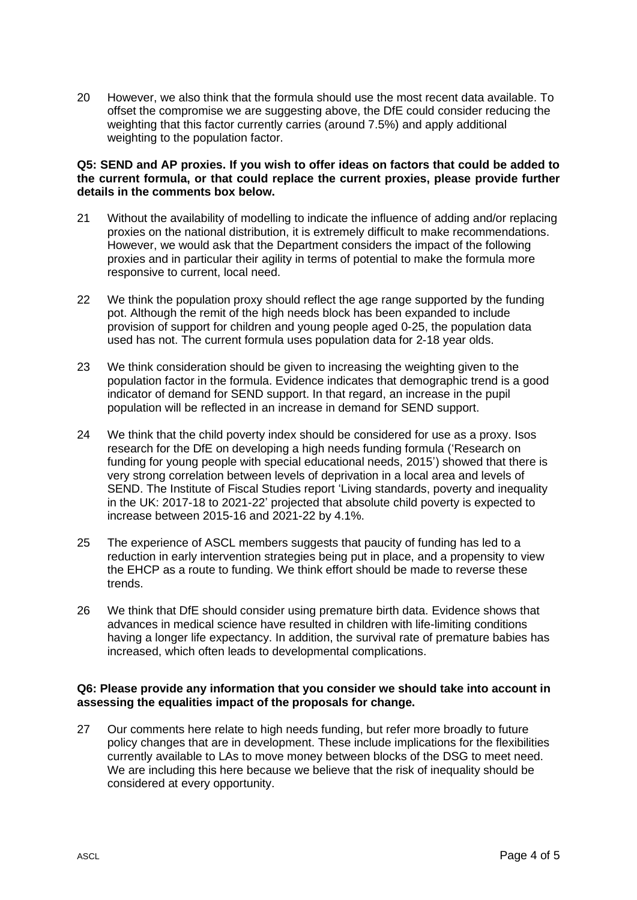20 However, we also think that the formula should use the most recent data available. To offset the compromise we are suggesting above, the DfE could consider reducing the weighting that this factor currently carries (around 7.5%) and apply additional weighting to the population factor.

#### **Q5: SEND and AP proxies. If you wish to offer ideas on factors that could be added to the current formula, or that could replace the current proxies, please provide further details in the comments box below.**

- 21 Without the availability of modelling to indicate the influence of adding and/or replacing proxies on the national distribution, it is extremely difficult to make recommendations. However, we would ask that the Department considers the impact of the following proxies and in particular their agility in terms of potential to make the formula more responsive to current, local need.
- 22 We think the population proxy should reflect the age range supported by the funding pot. Although the remit of the high needs block has been expanded to include provision of support for children and young people aged 0-25, the population data used has not. The current formula uses population data for 2-18 year olds.
- 23 We think consideration should be given to increasing the weighting given to the population factor in the formula. Evidence indicates that demographic trend is a good indicator of demand for SEND support. In that regard, an increase in the pupil population will be reflected in an increase in demand for SEND support.
- 24 We think that the child poverty index should be considered for use as a proxy. Isos research for the DfE on developing a high needs funding formula ('Research on funding for young people with special educational needs, 2015') showed that there is very strong correlation between levels of deprivation in a local area and levels of SEND. The Institute of Fiscal Studies report 'Living standards, poverty and inequality in the UK: 2017-18 to 2021-22' projected that absolute child poverty is expected to increase between 2015-16 and 2021-22 by 4.1%.
- 25 The experience of ASCL members suggests that paucity of funding has led to a reduction in early intervention strategies being put in place, and a propensity to view the EHCP as a route to funding. We think effort should be made to reverse these trends.
- 26 We think that DfE should consider using premature birth data. Evidence shows that advances in medical science have resulted in children with life-limiting conditions having a longer life expectancy. In addition, the survival rate of premature babies has increased, which often leads to developmental complications.

#### **Q6: Please provide any information that you consider we should take into account in assessing the equalities impact of the proposals for change.**

27 Our comments here relate to high needs funding, but refer more broadly to future policy changes that are in development. These include implications for the flexibilities currently available to LAs to move money between blocks of the DSG to meet need. We are including this here because we believe that the risk of inequality should be considered at every opportunity.